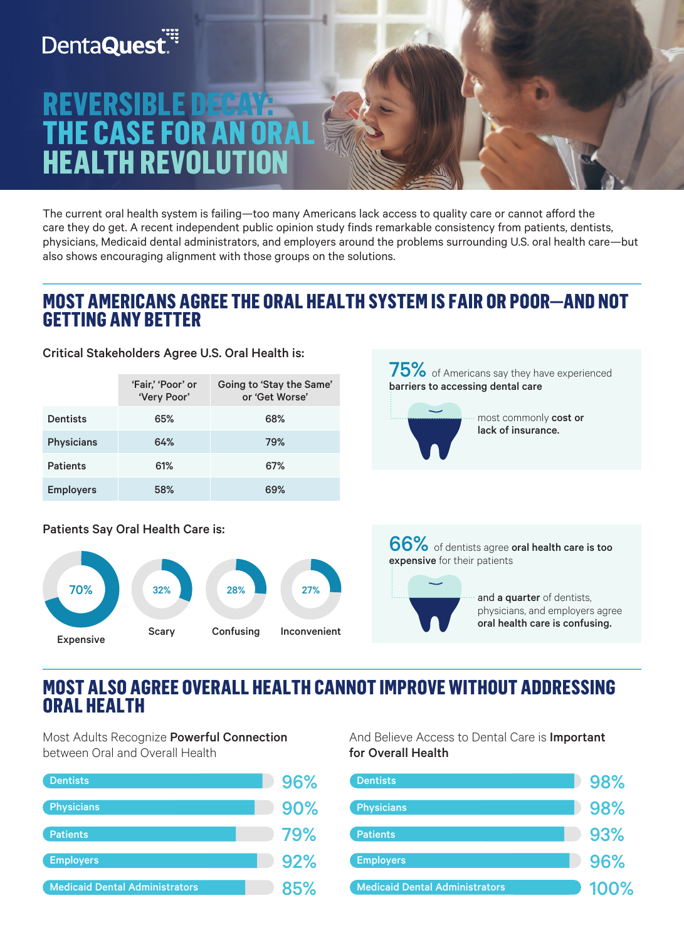# **DentaQuest**

# **REVERSIBLE<br>THE CASE FO HEALTH REVOLU**

The current oral health system is failing—too many Americans lack access to quality care or cannot afford the care they do get. A recent independent public opinion study finds remarkable consistency from patients, dentists, physicians, Medicaid dental administrators, and employers around the problems surrounding U.S. oral health care—but also shows encouraging alignment with those groups on the solutions.

### **MOST AMERICANS AGREE THE ORAL HEALTH SYSTEM IS FAIR OR POOR—AND NOT GETTING ANY BETTER**

Critical Stakeholders Agree U.S. Oral Health is:

|                   | 'Fair,' 'Poor' or<br>'Very Poor' | Going to 'Stay the Same'<br>or 'Get Worse' |
|-------------------|----------------------------------|--------------------------------------------|
| Dentists          | 65%                              | 68%                                        |
| <b>Physicians</b> | 64%                              | 79%                                        |
| <b>Patients</b>   | 61%                              | 67%                                        |
| <b>Employers</b>  | 58%                              | 69%                                        |

Patients Say Oral Health Care is:



66% of dentists agree oral health care is too expensive for their patients

75% of Americans say they have experienced

most commonly cost or lack of insurance.

barriers to accessing dental care



### **MOST ALSO AGREE OVERALL HEALTH CANNOT IMPROVE WITHOUT ADDRESSING ORAL HEALTH**

Most Adults Recognize Powerful Connection between Oral and Overall Health



And Believe Access to Dental Care is Important for Overall Health